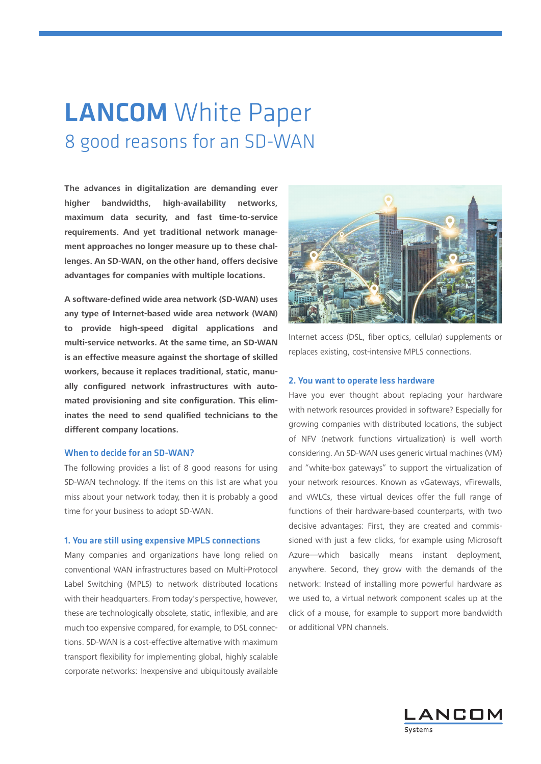# **LANCOM** White Paper 8 good reasons for an SD-WAN

**The advances in digitalization are demanding ever higher bandwidths, high-availability networks, maximum data security, and fast time-to-service requirements. And yet traditional network management approaches no longer measure up to these challenges. An SD-WAN, on the other hand, offers decisive advantages for companies with multiple locations.**

**A software-defined wide area network (SD-WAN) uses any type of Internet-based wide area network (WAN) to provide high-speed digital applications and multi-service networks. At the same time, an SD-WAN is an effective measure against the shortage of skilled workers, because it replaces traditional, static, manually configured network infrastructures with automated provisioning and site configuration. This eliminates the need to send qualified technicians to the different company locations.**

# When to decide for an SD-WAN?

The following provides a list of 8 good reasons for using SD-WAN technology. If the items on this list are what you miss about your network today, then it is probably a good time for your business to adopt SD-WAN.

# 1. You are still using expensive MPLS connections

Many companies and organizations have long relied on conventional WAN infrastructures based on Multi-Protocol Label Switching (MPLS) to network distributed locations with their headquarters. From today's perspective, however, these are technologically obsolete, static, inflexible, and are much too expensive compared, for example, to DSL connections. SD-WAN is a cost-effective alternative with maximum transport flexibility for implementing global, highly scalable corporate networks: Inexpensive and ubiquitously available



Internet access (DSL, fiber optics, cellular) supplements or replaces existing, cost-intensive MPLS connections.

#### 2. You want to operate less hardware

Have you ever thought about replacing your hardware with network resources provided in software? Especially for growing companies with distributed locations, the subject of NFV (network functions virtualization) is well worth considering. An SD-WAN uses generic virtual machines (VM) and "white-box gateways" to support the virtualization of your network resources. Known as vGateways, vFirewalls, and vWLCs, these virtual devices offer the full range of functions of their hardware-based counterparts, with two decisive advantages: First, they are created and commissioned with just a few clicks, for example using Microsoft Azure—which basically means instant deployment, anywhere. Second, they grow with the demands of the network: Instead of installing more powerful hardware as we used to, a virtual network component scales up at the click of a mouse, for example to support more bandwidth or additional VPN channels.

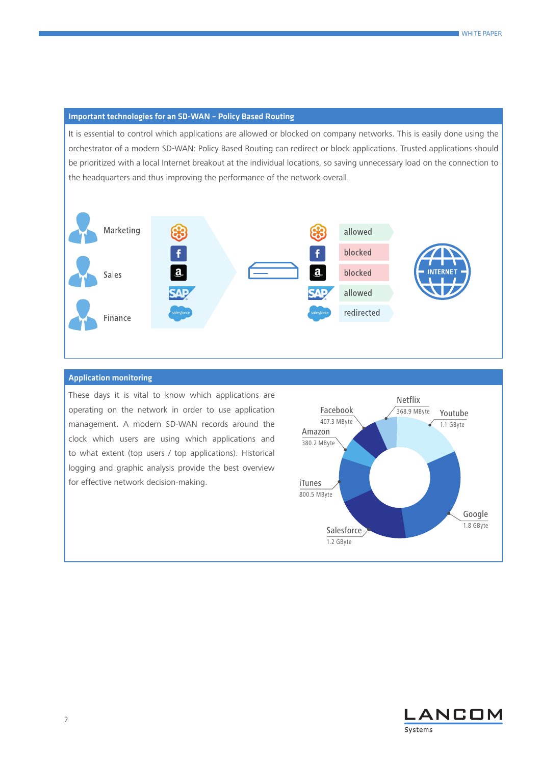## Important technologies for an SD-WAN – Policy Based Routing

It is essential to control which applications are allowed or blocked on company networks. This is easily done using the orchestrator of a modern SD-WAN: Policy Based Routing can redirect or block applications. Trusted applications should be prioritized with a local Internet breakout at the individual locations, so saving unnecessary load on the connection to the headquarters and thus improving the performance of the network overall.



#### Application monitoring

These days it is vital to know which applications are operating on the network in order to use application management. A modern SD-WAN records around the clock which users are using which applications and to what extent (top users / top applications). Historical logging and graphic analysis provide the best overview for effective network decision-making.



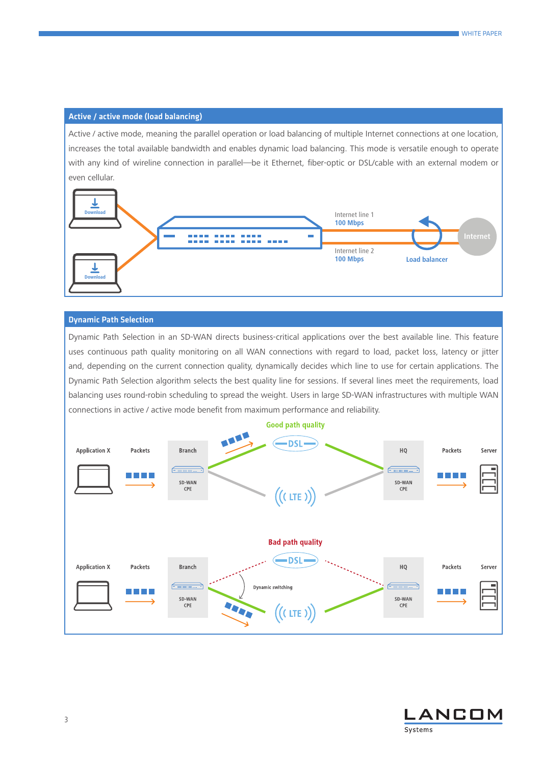# Active / active mode (load balancing)

Active / active mode, meaning the parallel operation or load balancing of multiple Internet connections at one location, increases the total available bandwidth and enables dynamic load balancing. This mode is versatile enough to operate with any kind of wireline connection in parallel—be it Ethernet, fiber-optic or DSL/cable with an external modem or even cellular.



### Dynamic Path Selection

Dynamic Path Selection in an SD-WAN directs business-critical applications over the best available line. This feature uses continuous path quality monitoring on all WAN connections with regard to load, packet loss, latency or jitter and, depending on the current connection quality, dynamically decides which line to use for certain applications. The Dynamic Path Selection algorithm selects the best quality line for sessions. If several lines meet the requirements, load balancing uses round-robin scheduling to spread the weight. Users in large SD-WAN infrastructures with multiple WAN connections in active / active mode benefit from maximum performance and reliability.



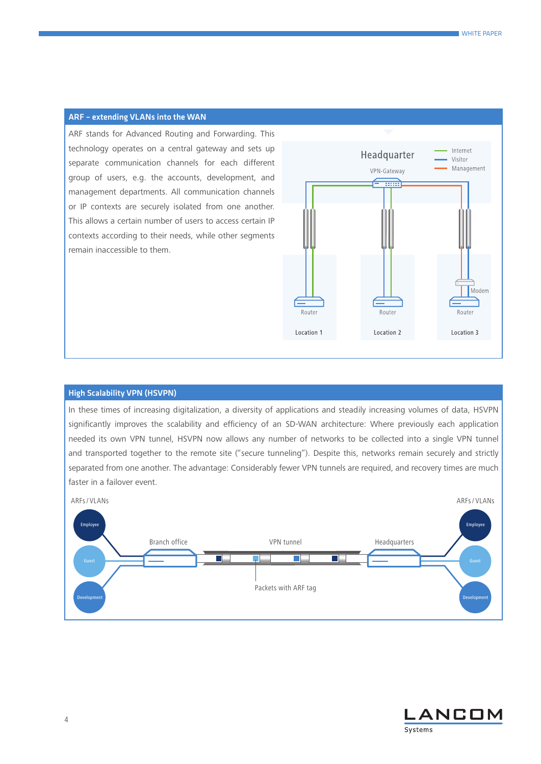## ARF – extending VLANs into the WAN

ARF stands for Advanced Routing and Forwarding. This technology operates on a central gateway and sets up separate communication channels for each different group of users, e.g. the accounts, development, and management departments. All communication channels or IP contexts are securely isolated from one another. This allows a certain number of users to access certain IP contexts according to their needs, while other segments remain inaccessible to them.



# High Scalability VPN (HSVPN)

In these times of increasing digitalization, a diversity of applications and steadily increasing volumes of data, HSVPN significantly improves the scalability and efficiency of an SD-WAN architecture: Where previously each application needed its own VPN tunnel, HSVPN now allows any number of networks to be collected into a single VPN tunnel and transported together to the remote site ("secure tunneling"). Despite this, networks remain securely and strictly separated from one another. The advantage: Considerably fewer VPN tunnels are required, and recovery times are much faster in a failover event.



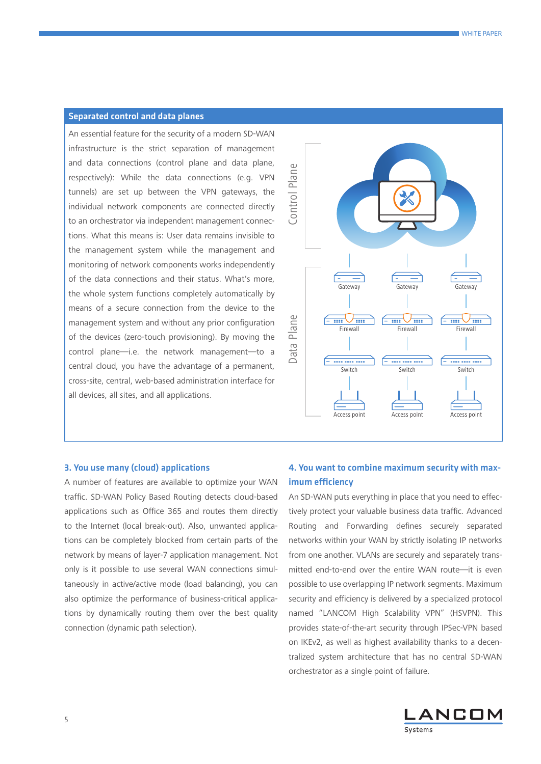# Separated control and data planes

An essential feature for the security of a modern SD-WAN infrastructure is the strict separation of management and data connections (control plane and data plane, respectively): While the data connections (e.g. VPN tunnels) are set up between the VPN gateways, the individual network components are connected directly to an orchestrator via independent management connections. What this means is: User data remains invisible to the management system while the management and monitoring of network components works independently of the data connections and their status. What's more, the whole system functions completely automatically by means of a secure connection from the device to the management system and without any prior configuration of the devices (zero-touch provisioning). By moving the control plane—i.e. the network management—to a central cloud, you have the advantage of a permanent, cross-site, central, web-based administration interface for all devices, all sites, and all applications.



#### 3. You use many (cloud) applications

A number of features are available to optimize your WAN traffic. SD-WAN Policy Based Routing detects cloud-based applications such as Office 365 and routes them directly to the Internet (local break-out). Also, unwanted applications can be completely blocked from certain parts of the network by means of layer-7 application management. Not only is it possible to use several WAN connections simultaneously in active/active mode (load balancing), you can also optimize the performance of business-critical applications by dynamically routing them over the best quality connection (dynamic path selection).

# 4. You want to combine maximum security with maximum efficiency

An SD-WAN puts everything in place that you need to effectively protect your valuable business data traffic. Advanced Routing and Forwarding defines securely separated networks within your WAN by strictly isolating IP networks from one another. VLANs are securely and separately transmitted end-to-end over the entire WAN route—it is even possible to use overlapping IP network segments. Maximum security and efficiency is delivered by a specialized protocol named "LANCOM High Scalability VPN" (HSVPN). This provides state-of-the-art security through IPSec-VPN based on IKEv2, as well as highest availability thanks to a decentralized system architecture that has no central SD-WAN orchestrator as a single point of failure.

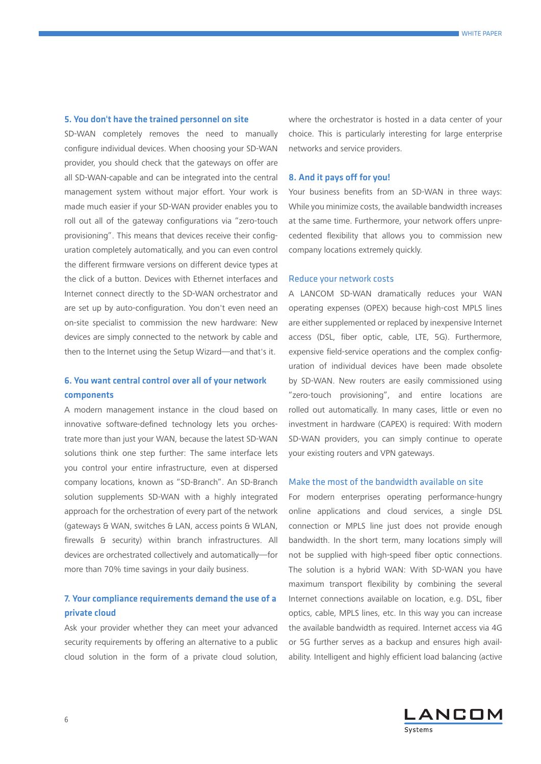#### 5. You don't have the trained personnel on site

SD-WAN completely removes the need to manually configure individual devices. When choosing your SD-WAN provider, you should check that the gateways on offer are all SD-WAN-capable and can be integrated into the central management system without major effort. Your work is made much easier if your SD-WAN provider enables you to roll out all of the gateway configurations via "zero-touch provisioning". This means that devices receive their configuration completely automatically, and you can even control the different firmware versions on different device types at the click of a button. Devices with Ethernet interfaces and Internet connect directly to the SD-WAN orchestrator and are set up by auto-configuration. You don't even need an on-site specialist to commission the new hardware: New devices are simply connected to the network by cable and then to the Internet using the Setup Wizard—and that's it.

# 6. You want central control over all of your network components

A modern management instance in the cloud based on innovative software-defined technology lets you orchestrate more than just your WAN, because the latest SD-WAN solutions think one step further: The same interface lets you control your entire infrastructure, even at dispersed company locations, known as "SD-Branch". An SD-Branch solution supplements SD-WAN with a highly integrated approach for the orchestration of every part of the network (gateways & WAN, switches & LAN, access points & WLAN, firewalls & security) within branch infrastructures. All devices are orchestrated collectively and automatically—for more than 70% time savings in your daily business.

# 7. Your compliance requirements demand the use of a private cloud

Ask your provider whether they can meet your advanced security requirements by offering an alternative to a public cloud solution in the form of a private cloud solution, where the orchestrator is hosted in a data center of your choice. This is particularly interesting for large enterprise networks and service providers.

#### 8. And it pays off for you!

Your business benefits from an SD-WAN in three ways: While you minimize costs, the available bandwidth increases at the same time. Furthermore, your network offers unprecedented flexibility that allows you to commission new company locations extremely quickly.

#### Reduce your network costs

A LANCOM SD-WAN dramatically reduces your WAN operating expenses (OPEX) because high-cost MPLS lines are either supplemented or replaced by inexpensive Internet access (DSL, fiber optic, cable, LTE, 5G). Furthermore, expensive field-service operations and the complex configuration of individual devices have been made obsolete by SD-WAN. New routers are easily commissioned using "zero-touch provisioning", and entire locations are rolled out automatically. In many cases, little or even no investment in hardware (CAPEX) is required: With modern SD-WAN providers, you can simply continue to operate your existing routers and VPN gateways.

## Make the most of the bandwidth available on site

For modern enterprises operating performance-hungry online applications and cloud services, a single DSL connection or MPLS line just does not provide enough bandwidth. In the short term, many locations simply will not be supplied with high-speed fiber optic connections. The solution is a hybrid WAN: With SD-WAN you have maximum transport flexibility by combining the several Internet connections available on location, e.g. DSL, fiber optics, cable, MPLS lines, etc. In this way you can increase the available bandwidth as required. Internet access via 4G or 5G further serves as a backup and ensures high availability. Intelligent and highly efficient load balancing (active